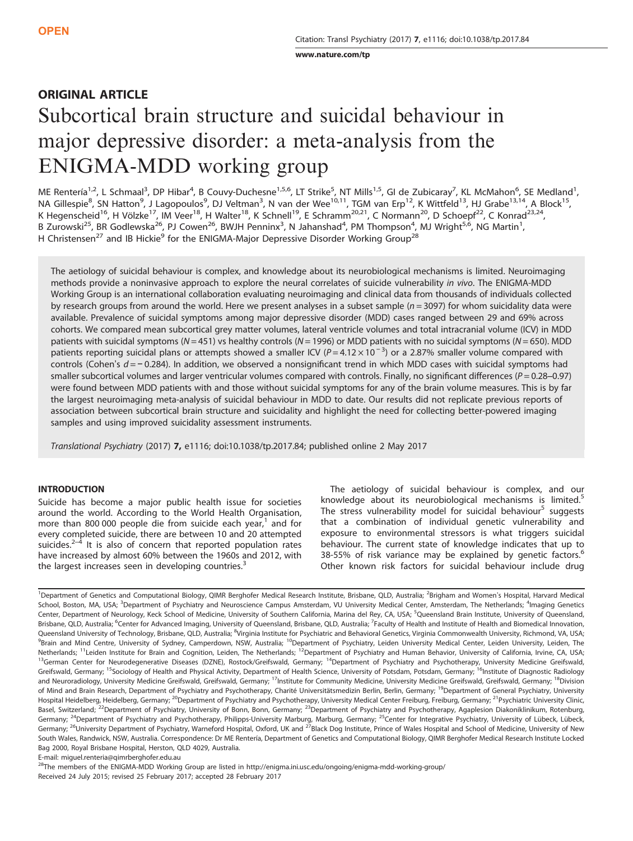[www.nature.com/tp](http://www.nature.com/tp)

# ORIGINAL ARTICLE

# Subcortical brain structure and suicidal behaviour in major depressive disorder: a meta-analysis from the ENIGMA-MDD working group

ME Rentería<sup>1,2</sup>, L Schmaal<sup>3</sup>, DP Hibar<sup>4</sup>, B Couvy-Duchesne<sup>1,5,6</sup>, LT Strike<sup>5</sup>, NT Mills<sup>1,5</sup>, GI de Zubicaray<sup>7</sup>, KL McMahon<sup>6</sup>, SE Medland<sup>1</sup>, NA Gillespie<sup>8</sup>, SN Hatton<sup>9</sup>, J Lagopoulos<sup>9</sup>, DJ Veltman<sup>3</sup>, N van der Wee<sup>10,11</sup>, TGM van Erp<sup>12</sup>, K Wittfeld<sup>13</sup>, HJ Grabe<sup>13,14</sup>, A Block<sup>15</sup>, K Hegenscheid<sup>16</sup>, H Völzke<sup>17</sup>, IM Veer<sup>18</sup>, H Walter<sup>18</sup>, K Schnell<sup>19</sup>, E Schramm<sup>20,21</sup>, C Normann<sup>20</sup>, D Schoepf<sup>22</sup>, C Konrad<sup>23,24</sup>, B Zurowski<sup>25</sup>, BR Godlewska<sup>26</sup>, PJ Cowen<sup>26</sup>, BWJH Penninx<sup>3</sup>, N Jahanshad<sup>4</sup>, PM Thompson<sup>4</sup>, MJ Wright<sup>5,6</sup>, NG Martin<sup>1</sup>, H Christensen<sup>27</sup> and IB Hickie<sup>9</sup> for the ENIGMA-Major Depressive Disorder Working Group<sup>28</sup>

The aetiology of suicidal behaviour is complex, and knowledge about its neurobiological mechanisms is limited. Neuroimaging methods provide a noninvasive approach to explore the neural correlates of suicide vulnerability in vivo. The ENIGMA-MDD Working Group is an international collaboration evaluating neuroimaging and clinical data from thousands of individuals collected by research groups from around the world. Here we present analyses in a subset sample ( $n = 3097$ ) for whom suicidality data were available. Prevalence of suicidal symptoms among major depressive disorder (MDD) cases ranged between 29 and 69% across cohorts. We compared mean subcortical grey matter volumes, lateral ventricle volumes and total intracranial volume (ICV) in MDD patients with suicidal symptoms ( $N = 451$ ) vs healthy controls ( $N = 1996$ ) or MDD patients with no suicidal symptoms ( $N = 650$ ). MDD patients reporting suicidal plans or attempts showed a smaller ICV (P=4.12 $\times$ 10<sup>-3</sup>) or a 2.87% smaller volume compared with controls (Cohen's d = − 0.284). In addition, we observed a nonsignificant trend in which MDD cases with suicidal symptoms had smaller subcortical volumes and larger ventricular volumes compared with controls. Finally, no significant differences ( $P = 0.28 - 0.97$ ) were found between MDD patients with and those without suicidal symptoms for any of the brain volume measures. This is by far the largest neuroimaging meta-analysis of suicidal behaviour in MDD to date. Our results did not replicate previous reports of association between subcortical brain structure and suicidality and highlight the need for collecting better-powered imaging samples and using improved suicidality assessment instruments.

Translational Psychiatry (2017) 7, e1116; doi[:10.1038/tp.2017.84](http://dx.doi.org/10.1038/tp.2017.84); published online 2 May 2017

# INTRODUCTION

Suicide has become a major public health issue for societies around the world. According to the World Health Organisation, more than 800 000 people die from suicide each year, $1$  and for every c[omp](#page-6-0)leted suicide, there are between 10 and 20 attempted suicides. $2-4$  It is also of concern that reported population rates have increased by almost 60% between the 1960s and 2012, with the largest increases seen in developing countries.<sup>[3](#page-6-0)</sup>

The aetiology of suicidal behaviour is complex, and our knowledge about its neurobiological mechanisms is limited.<sup>[5](#page-6-0)</sup> The stress vulnerability model for suicidal behaviour<sup>[5](#page-6-0)</sup> suggests that a combination of individual genetic vulnerability and exposure to environmental stressors is what triggers suicidal behaviour. The current state of knowledge indicates that up to 38-55% of risk variance may be explained by genetic factors.<sup>[6](#page-6-0)</sup> Other known risk factors for suicidal behaviour include drug

<sup>1</sup>Department of Genetics and Computational Biology, QIMR Berghofer Medical Research Institute, Brisbane, QLD, Australia; <sup>2</sup>Brigham and Women's Hospital, Harvard Medical School, Boston, MA, USA; <sup>3</sup>Department of Psychiatry and Neuroscience Campus Amsterdam, VU University Medical Center, Amsterdam, The Netherlands; <sup>4</sup>lmaging Genetics Center, Department of Neurology, Keck School of Medicine, University of Southern California, Marina del Rey, CA, USA; <sup>5</sup>Queensland Brain Institute, University of Queensland, Brisbane, QLD, Australia; <sup>6</sup>Center for Advanced Imaging, University of Queensland, Brisbane, QLD, Australia; <sup>7</sup>Faculty of Health and Institute of Health and Biomedical Innovation, Queensland University of Technology, Brisbane, QLD, Australia; <sup>8</sup>Virginia Institute for Psychiatric and Behavioral Genetics, Virginia Commonwealth University, Richmond, VA, USA; <sup>9</sup>Brain and Mind Centre, University of Sydney, Camperdown, NSW, Australia; <sup>10</sup>Department of Psychiatry, Leiden University Medical Center, Leiden University, Leiden, The Netherlands; <sup>11</sup>Leiden Institute for Brain and Cognition, Leiden, The Netherlands; <sup>12</sup>Department of Psychiatry and Human Behavior, University of California, Irvine, CA, USA; <sup>13</sup>German Center for Neurodegenerative Diseases (DZNE), Rostock/Greifswald, Germany; <sup>14</sup>Department of Psychiatry and Psychotherapy, University Medicine Greifswald, Greifswald, Germany; <sup>15</sup>Sociology of Health and Physical Activity, Department of Health Science, University of Potsdam, Potsdam, Germany; <sup>16</sup>Institute of Diagnostic Radiology and Neuroradiology, University Medicine Greifswald, Greifswald, Germany; <sup>17</sup>Institute for Community Medicine, University Medicine Greifswald, Greifswald, Germany; <sup>18</sup>Division of Mind and Brain Research, Department of Psychiatry and Psychotherapy, Charité Universitätsmedizin Berlin, Berlin, Germany; 19Department of General Psychiatry, University Hospital Heidelberg, Heidelberg, Germany; <sup>20</sup>Department of Psychiatry and Psychotherapy, University Medical Center Freiburg, Freiburg, Germany; <sup>21</sup>Psychiatric University Clinic, Basel, Switzerland; <sup>22</sup>Department of Psychiatry, University of Bonn, Bonn, Germany; <sup>23</sup>Department of Psychiatry and Psychotherapy, Agaplesion Diakoniklinikum, Rotenburg, Germany; <sup>24</sup>Department of Psychiatry and Psychotherapy, Philipps-University Marburg, Marburg, Germany; <sup>25</sup>Center for Integrative Psychiatry, University of Lübeck, Lübeck, Germany; <sup>26</sup>University Department of Psychiatry, Warneford Hospital, Oxford, UK and <sup>27</sup>Black Dog Institute, Prince of Wales Hospital and School of Medicine, University of New South Wales, Randwick, NSW, Australia. Correspondence: Dr ME Rentería, Department of Genetics and Computational Biology, QIMR Berghofer Medical Research Institute Locked Bag 2000, Royal Brisbane Hospital, Herston, QLD 4029, Australia.

E-mail: [miguel.renteria@qimrberghofer.edu.au](mailto:miguel.renteria@qimrberghofer.edu.au)

28The members of the ENIGMA-MDD Working Group are listed in http://enigma.ini.usc.edu/ongoing/enigma-mdd-working-group/ Received 24 July 2015; revised 25 February 2017; accepted 28 February 2017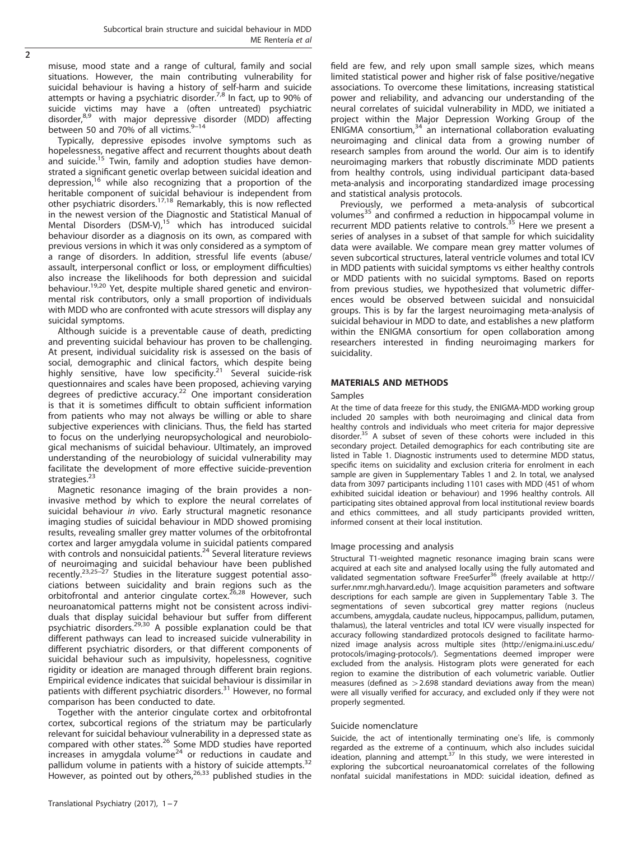misuse, mood state and a range of cultural, family and social situations. However, the main contributing vulnerability for suicidal behaviour is having a history of self-harm and suicide attempts or having a psychiatric disorder.<sup>[7,8](#page-6-0)</sup> In fact, up to 90% of suicide victims may have a (often untreated) psychiatric disorder,<sup>[8](#page-6-0),[9](#page-6-0)</sup> with major depressive disorder (MDD) affecting<br>histories E0 and 70% of all victims <sup>9–14</sup> between 50 and 70% of all victims.<sup>9</sup>

Typically, depressive episodes involve symptoms such as hopelessness, negative affect and recurrent thoughts about death and suicide.<sup>[15](#page-6-0)</sup> Twin, family and adoption studies have demonstrated a significant genetic overlap between suicidal ideation and depression, $16$  while also recognizing that a proportion of the heritable component of suicidal behaviour is independent from other psychiatric disorders.[17,18](#page-6-0) Remarkably, this is now reflected in the newest version of the Diagnostic and Statistical Manual of Mental Disorders  $(DSM-V)<sup>15</sup>$  $(DSM-V)<sup>15</sup>$  $(DSM-V)<sup>15</sup>$  which has introduced suicidal behaviour disorder as a diagnosis on its own, as compared with previous versions in which it was only considered as a symptom of a range of disorders. In addition, stressful life events (abuse/ assault, interpersonal conflict or loss, or employment difficulties) also increase the likelihoods for both depression and suicidal behaviour.<sup>[19,20](#page-6-0)</sup> Yet, despite multiple shared genetic and environmental risk contributors, only a small proportion of individuals with MDD who are confronted with acute stressors will display any suicidal symptoms.

Although suicide is a preventable cause of death, predicting and preventing suicidal behaviour has proven to be challenging. At present, individual suicidality risk is assessed on the basis of social, demographic and clinical factors, which despite being<br>highly sensitive, have low specificity.<sup>21</sup> Several suicide-risk questionnaires and scales have been proposed, achieving varying degrees of predictive accuracy.<sup>[22](#page-6-0)</sup> One important consideration is that it is sometimes difficult to obtain sufficient information from patients who may not always be willing or able to share subjective experiences with clinicians. Thus, the field has started to focus on the underlying neuropsychological and neurobiological mechanisms of suicidal behaviour. Ultimately, an improved understanding of the neurobiology of suicidal vulnerability may facilitate the development of more effective suicide-prevention strategies.<sup>[23](#page-6-0)</sup>

Magnetic resonance imaging of the brain provides a noninvasive method by which to explore the neural correlates of suicidal behaviour in vivo. Early structural magnetic resonance imaging studies of suicidal behaviour in MDD showed promising results, revealing smaller grey matter volumes of the orbitofrontal cortex and larger amygdala volume in suicidal patients compared with controls and nonsuicidal patients.<sup>[24](#page-6-0)</sup> Several literature reviews of neuroimaging and suicidal behaviour have been published recently.<sup>[23,25](#page-6-0)–27</sup> Studies in the literature suggest potential associations between suicidality and brain regions such as the orbitofrontal and anterior cingulate cortex.<sup>[26,28](#page-6-0)</sup> However, such neuroanatomical patterns might not be consistent across individuals that display suicidal behaviour but suffer from different psychiatric disorders.<sup>[29,30](#page-6-0)</sup> A possible explanation could be that different pathways can lead to increased suicide vulnerability in different psychiatric disorders, or that different components of suicidal behaviour such as impulsivity, hopelessness, cognitive rigidity or ideation are managed through different brain regions. Empirical evidence indicates that suicidal behaviour is dissimilar in patients with different psychiatric disorders.<sup>[31](#page-6-0)</sup> However, no formal comparison has been conducted to date.

Together with the anterior cingulate cortex and orbitofrontal cortex, subcortical regions of the striatum may be particularly relevant for suicidal behaviour vulnerability in a depressed state as compared with other states.<sup>[26](#page-6-0)</sup> Some MDD studies have reported increases in amygdala volume $24$  or reductions in caudate and pallidum volume in patients with a history of suicide attempts.<sup>[32](#page-6-0)</sup> However, as pointed out by others,<sup>[26,33](#page-6-0)</sup> published studies in the

field are few, and rely upon small sample sizes, which means limited statistical power and higher risk of false positive/negative associations. To overcome these limitations, increasing statistical power and reliability, and advancing our understanding of the neural correlates of suicidal vulnerability in MDD, we initiated a project within the Major Depression Working Group of the  $ENIGMA$  consortium, $34$  an international collaboration evaluating neuroimaging and clinical data from a growing number of research samples from around the world. Our aim is to identify neuroimaging markers that robustly discriminate MDD patients from healthy controls, using individual participant data-based meta-analysis and incorporating standardized image processing and statistical analysis protocols.

Previously, we performed a meta-analysis of subcortical volumes<sup>[35](#page-6-0)</sup> and confirmed a reduction in hippocampal volume in recurrent MDD patients relative to controls.<sup>[35](#page-6-0)</sup> Here we present a series of analyses in a subset of that sample for which suicidality data were available. We compare mean grey matter volumes of seven subcortical structures, lateral ventricle volumes and total ICV in MDD patients with suicidal symptoms vs either healthy controls or MDD patients with no suicidal symptoms. Based on reports from previous studies, we hypothesized that volumetric differences would be observed between suicidal and nonsuicidal groups. This is by far the largest neuroimaging meta-analysis of suicidal behaviour in MDD to date, and establishes a new platform within the ENIGMA consortium for open collaboration among researchers interested in finding neuroimaging markers for suicidality.

# MATERIALS AND METHODS

#### Samples

At the time of data freeze for this study, the ENIGMA-MDD working group included 20 samples with both neuroimaging and clinical data from healthy controls and individuals who meet criteria for major depressive disorder.[35](#page-6-0) A subset of seven of these cohorts were included in this secondary project. Detailed demographics for each contributing site are listed in [Table 1.](#page-2-0) Diagnostic instruments used to determine MDD status, specific items on suicidality and exclusion criteria for enrolment in each sample are given in Supplementary Tables 1 and 2. In total, we analysed data from 3097 participants including 1101 cases with MDD (451 of whom exhibited suicidal ideation or behaviour) and 1996 healthy controls. All participating sites obtained approval from local institutional review boards and ethics committees, and all study participants provided written, informed consent at their local institution.

#### Image processing and analysis

Structural T1-weighted magnetic resonance imaging brain scans were acquired at each site and analysed locally using the fully automated and validated segmentation software FreeSurfer<sup>36</sup> (freely available at [http://](http://surfer.nmr.mgh.harvard.edu/) [surfer.nmr.mgh.harvard.edu/](http://surfer.nmr.mgh.harvard.edu/)). Image acquisition parameters and software descriptions for each sample are given in Supplementary Table 3. The segmentations of seven subcortical grey matter regions (nucleus accumbens, amygdala, caudate nucleus, hippocampus, pallidum, putamen, thalamus), the lateral ventricles and total ICV were visually inspected for accuracy following standardized protocols designed to facilitate harmonized image analysis across multiple sites [\(http://enigma.ini.usc.edu/](http://enigma.ini.usc.edu/protocols/imaging-protocols/) [protocols/imaging-protocols/](http://enigma.ini.usc.edu/protocols/imaging-protocols/)). Segmentations deemed improper were excluded from the analysis. Histogram plots were generated for each region to examine the distribution of each volumetric variable. Outlier measures (defined as  $>$  2.698 standard deviations away from the mean) were all visually verified for accuracy, and excluded only if they were not properly segmented.

#### Suicide nomenclature

Suicide, the act of intentionally terminating one's life, is commonly regarded as the extreme of a continuum, which also includes suicidal ideation, planning and attempt. $37$  In this study, we were interested in exploring the subcortical neuroanatomical correlates of the following nonfatal suicidal manifestations in MDD: suicidal ideation, defined as

 $\overline{2}$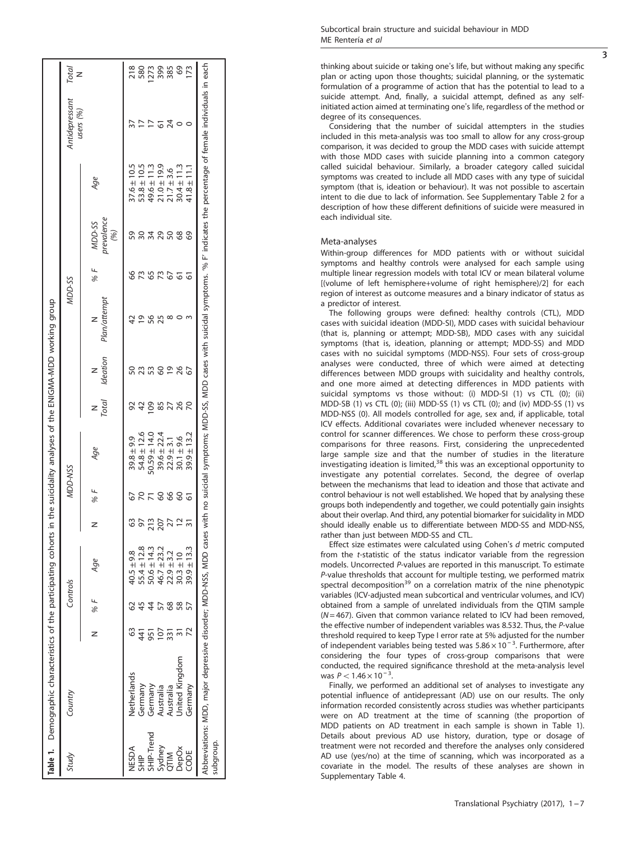<span id="page-2-0"></span>

|                | Table 1. Demographic characteristics of the participating cohorts                                                                                                                                   |                |      |                 |                |                | in the suicidality analyses of the ENIGMA-MDD working group |                |                |              |                    |                              |                 |                             |                |
|----------------|-----------------------------------------------------------------------------------------------------------------------------------------------------------------------------------------------------|----------------|------|-----------------|----------------|----------------|-------------------------------------------------------------|----------------|----------------|--------------|--------------------|------------------------------|-----------------|-----------------------------|----------------|
| Study          | Country                                                                                                                                                                                             |                |      | Controls        |                | MDD-NSS        |                                                             |                |                | MDD-SS       |                    |                              |                 | Antidepressant<br>users (%) | Total<br>z     |
|                |                                                                                                                                                                                                     | z              | 96 F | Age             | z              | % F            | Age                                                         | <b>Total</b>   | Ideation       | Plan/attempt | 96 F               | prevalence<br>NDD-SS<br>(96) | Age             |                             |                |
| AGSEA          | Netherlands                                                                                                                                                                                         |                |      | $40.5 + 9.8$    | 63             | 5              | $39.8 \pm 9.9$                                              |                |                |              | 8                  | 59                           | $37.6 \pm 10.5$ |                             | 218            |
| 오<br>도         | Germany                                                                                                                                                                                             | .<br>4         |      | $55.4 \pm 12.8$ | 5              | 20             | $54.8 \pm 12.6$                                             | $\overline{4}$ |                | <u>م</u>     | 73                 | 50                           | $53.8 \pm 10.5$ |                             |                |
| SHIP-Trend     | Germany                                                                                                                                                                                             | 951            |      | $50.6 \pm 14.3$ | 213            | $\overline{7}$ | $0.59 \pm 14.0$                                             | $\overline{5}$ | 23<br>53       | 56           | 65                 | $\overline{34}$              | $49.6 \pm 11.3$ |                             |                |
|                | Australia                                                                                                                                                                                           | $\overline{0}$ |      | $46.7 \pm 23.2$ | 207            | 8              | $39.6 \pm 22.4$                                             | 85             | 8              | 25           | 73                 | 29                           | $21.0 + 19.9$   | 51                          |                |
| Sydney<br>QTIM | Australia                                                                                                                                                                                           | ີ່ສ            | 89   | $22.9 \pm 3.2$  | 27             | 8              | $22.9 \pm 3.1$                                              | 27             | $\overline{0}$ | ∞            | 67                 | 50                           | $21.7 \pm 3.6$  | 24                          |                |
| DepOx          | United Kingdom                                                                                                                                                                                      |                | 58   | $30.3 \pm 10$   | $\tilde{c}$    | 60             | $30.1 + 9.6$                                                | 26             | 26             |              | $\overline{\circ}$ | $\frac{8}{3}$                | $30.4 \pm 11.3$ | 0                           |                |
| CODE           | Germany                                                                                                                                                                                             |                |      | $39.9 \pm 13.3$ | $\overline{5}$ | $\overline{6}$ | $39.9 + 13.2$                                               |                | 67             |              | 61                 | 69                           | $41.8 \pm 11.1$ | 0                           | $\overline{2}$ |
| subgroup.      | Abbreviations: MDD, major depressive disorder; MDD-NSS, MDD cases with no suicidal symptoms; MDD-SS, MDD cases with suicidal symptoms. "% F' indicates the percentage of female individuals in each |                |      |                 |                |                |                                                             |                |                |              |                    |                              |                 |                             |                |

thinking about suicide or taking one's life, but without making any specific plan or acting upon those thoughts; suicidal planning, or the systematic formulation of a programme of action that has the potential to lead to a suicide attempt. And, finally, a suicidal attempt, defined as any selfinitiated action aimed at terminating one's life, regardless of the method or degree of its consequences.

Considering that the number of suicidal attempters in the studies included in this meta-analysis was too small to allow for any cross-group comparison, it was decided to group the MDD cases with suicide attempt with those MDD cases with suicide planning into a common category called suicidal behaviour. Similarly, a broader category called suicidal symptoms was created to include all MDD cases with any type of suicidal symptom (that is, ideation or behaviour). It was not possible to ascertain intent to die due to lack of information. See Supplementary Table 2 for a description of how these different de finitions of suicide were measured in each individual site.

#### Meta-analyses

Within-group differences for MDD patients with or without suicidal symptoms and healthy controls were analysed for each sample using multiple linear regression models with total ICV or mean bilateral volume [(volume of left hemisphere+volume of right hemisphere)/2] for each region of interest as outcome measures and a binary indicator of status as a predictor of interest.

The following groups were de fined: healthy controls (CTL), MDD cases with suicidal ideation (MDD-SI), MDD cases with suicidal behaviour (that is, planning or attempt; MDD-SB), MDD cases with any suicidal symptoms (that is, ideation, planning or attempt; MDD-SS) and MDD cases with no suicidal symptoms (MDD-NSS). Four sets of cross-group analyses were conducted, three of which were aimed at detecting differences between MDD groups with suicidality and healthy controls, and one more aimed at detecting differences in MDD patients with suicidal symptoms vs those without: (i) MDD-SI (1) vs CTL (0); (ii) MDD-SB (1) vs CTL (0); (iii) MDD-SS (1) vs CTL (0); and (iv) MDD-SS (1) vs MDD-NSS (0). All models controlled for age, sex and, if applicable, total ICV effects. Additional covariates were included whenever necessary to control for scanner differences. We chose to perform these cross-group comparisons for three reasons. First, considering the unprecedented large sample size and that the number of studies in the literature investigating ideation is limited,<sup>[38](#page-6-0)</sup> this was an exceptional opportunity to investigate any potential correlates. Second, the degree of overlap between the mechanisms that lead to ideation and those that activate and control behaviour is not well established. We hoped that by analysing these groups both independently and together, we could potentially gain insights about their overlap. And third, any potential biomarker for suicidality in MDD should ideally enable us to differentiate between MDD-SS and MDD-NSS, rather than just between MDD-SS and CTL.

Effect size estimates were calculated using Cohen's d metric computed from the *t*-statistic of the status indicator variable from the regression models. Uncorrected P-values are reported in this manuscript. To estimate P-value thresholds that account for multiple testing, we performed matrix spectral decomposition<sup>[39](#page-6-0)</sup> on a correlation matrix of the nine phenotypic variables (ICV-adjusted mean subcortical and ventricular volumes, and ICV) obtained from a sample of unrelated individuals from the QTIM sample  $(N = 467)$ . Given that common variance related to ICV had been removed, the effective number of independent variables was 8.532. Thus, the P-value threshold required to keep Type I error rate at 5% adjusted for the number of independent variables being tested was  $5.86 \times 10^{-3}$ . Furthermore, after considering the four types of cross-group comparisons that were conducted, the required signi ficance threshold at the meta-analysis level was  $P < 1.46 \times 10^{-3}$ .

Finally, we performed an additional set of analyses to investigate any potential in fluence of antidepressant (AD) use on our results. The only information recorded consistently across studies was whether participants were on AD treatment at the time of scanning (the proportion of MDD patients on AD treatment in each sample is shown in Table 1). Details about previous AD use history, duration, type or dosage of treatment were not recorded and therefore the analyses only considered AD use (yes/no) at the time of scanning, which was incorporated as a covariate in the model. The results of these analyses are shown in Supplementary Table 4.

3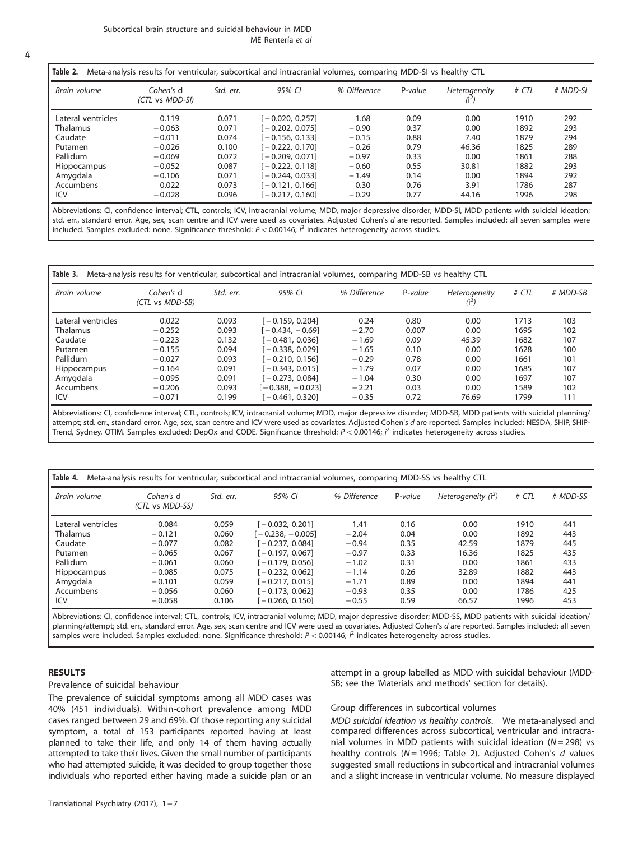Subcortical brain structure and suicidal behaviour in MDD ME Rentería et al

| Brain volume       | Cohen's d<br>(CTL vs MDD-SI) | Std. err. | 95% CI            | % Difference | P-value | Heterogeneity | # CTL | # MDD-SI |
|--------------------|------------------------------|-----------|-------------------|--------------|---------|---------------|-------|----------|
| Lateral ventricles | 0.119                        | 0.071     | $[-0.020, 0.257]$ | 1.68         | 0.09    | 0.00          | 1910  | 292      |
| Thalamus           | $-0.063$                     | 0.071     | $-0.202, 0.075$   | $-0.90$      | 0.37    | 0.00          | 1892  | 293      |
| Caudate            | $-0.011$                     | 0.074     | $[-0.156, 0.133]$ | $-0.15$      | 0.88    | 7.40          | 1879  | 294      |
| Putamen            | $-0.026$                     | 0.100     | $-0.222, 0.170$   | $-0.26$      | 0.79    | 46.36         | 1825  | 289      |
| Pallidum           | $-0.069$                     | 0.072     | $-0.209, 0.071$   | $-0.97$      | 0.33    | 0.00          | 1861  | 288      |
| <b>Hippocampus</b> | $-0.052$                     | 0.087     | $-0.222, 0.118$   | $-0.60$      | 0.55    | 30.81         | 1882  | 293      |
| Amygdala           | $-0.106$                     | 0.071     | $-0.244, 0.033$   | $-1.49$      | 0.14    | 0.00          | 1894  | 292      |
| Accumbens          | 0.022                        | 0.073     | $-0.121, 0.166$   | 0.30         | 0.76    | 3.91          | 1786  | 287      |
| ICV                | $-0.028$                     | 0.096     | $-0.217, 0.160$   | $-0.29$      | 0.77    | 44.16         | 1996  | 298      |

Abbreviations: CI, confidence interval; CTL, controls; ICV, intracranial volume; MDD, major depressive disorder; MDD-SI, MDD patients with suicidal ideation; std. err., standard error. Age, sex, scan centre and ICV were used as covariates. Adjusted Cohen's d are reported. Samples included: all seven samples were included. Samples excluded: none. Significance threshold:  $P$  < 0.00146;  $i^2$  indicates heterogeneity across studies.

| Brain volume       | Cohen's d<br>(CTL vs MDD-SB) | Std. err. | 95% CI            | % Difference | P-value | Heterogeneity | # CTL | # MDD-SB |
|--------------------|------------------------------|-----------|-------------------|--------------|---------|---------------|-------|----------|
| Lateral ventricles | 0.022                        | 0.093     | $[-0.159, 0.204]$ | 0.24         | 0.80    | 0.00          | 1713  | 103      |
| Thalamus           | $-0.252$                     | 0.093     | $[-0.434, -0.69]$ | $-2.70$      | 0.007   | 0.00          | 1695  | 102      |
| Caudate            | $-0.223$                     | 0.132     | $-0.481, 0.036$   | $-1.69$      | 0.09    | 45.39         | 1682  | 107      |
| Putamen            | $-0.155$                     | 0.094     | $-0.338, 0.029$   | $-1.65$      | 0.10    | 0.00          | 1628  | 100      |
| Pallidum           | $-0.027$                     | 0.093     | $-0.210, 0.156$   | $-0.29$      | 0.78    | 0.00          | 1661  | 101      |
| <b>Hippocampus</b> | $-0.164$                     | 0.091     | $-0.343, 0.015$   | $-1.79$      | 0.07    | 0.00          | 1685  | 107      |
| Amygdala           | $-0.095$                     | 0.091     | $[-0.273, 0.084]$ | $-1.04$      | 0.30    | 0.00          | 1697  | 107      |
| Accumbens          | $-0.206$                     | 0.093     | $-0.388, -0.023$  | $-2.21$      | 0.03    | 0.00          | 1589  | 102      |
| ICV                | $-0.071$                     | 0.199     | $[-0.461, 0.320]$ | $-0.35$      | 0.72    | 76.69         | 1799  | 111      |

Abbreviations: CI, confidence interval; CTL, controls; ICV, intracranial volume; MDD, major depressive disorder; MDD-SB, MDD patients with suicidal planning/ attempt; std. err., standard error. Age, sex, scan centre and ICV were used as covariates. Adjusted Cohen's d are reported. Samples included: NESDA, SHIP, SHIP-Trend, Sydney, QTIM. Samples excluded: DepOx and CODE. Significance threshold:  $P < 0.00146$ ;  $i^2$  indicates heterogeneity across studies.

| Table 4.<br>Meta-analysis results for ventricular, subcortical and intracranial volumes, comparing MDD-SS vs healthy CTL |                              |           |                     |              |         |                       |       |          |  |  |  |
|--------------------------------------------------------------------------------------------------------------------------|------------------------------|-----------|---------------------|--------------|---------|-----------------------|-------|----------|--|--|--|
| Brain volume                                                                                                             | Cohen's d<br>(CTL vs MDD-SS) | Std. err. | 95% CI              | % Difference | P-value | Heterogeneity $(i^2)$ | # CTL | # MDD-SS |  |  |  |
| Lateral ventricles                                                                                                       | 0.084                        | 0.059     | $[-0.032, 0.201]$   | 1.41         | 0.16    | 0.00                  | 1910  | 441      |  |  |  |
| Thalamus                                                                                                                 | $-0.121$                     | 0.060     | $[-0.238, -0.005]$  | $-2.04$      | 0.04    | 0.00                  | 1892  | 443      |  |  |  |
| Caudate                                                                                                                  | $-0.077$                     | 0.082     | [-0.237, 0.084]     | $-0.94$      | 0.35    | 42.59                 | 1879  | 445      |  |  |  |
| Putamen                                                                                                                  | $-0.065$                     | 0.067     | $[-0.197, 0.067]$   | $-0.97$      | 0.33    | 16.36                 | 1825  | 435      |  |  |  |
| Pallidum                                                                                                                 | $-0.061$                     | 0.060     | [ $-0.179, 0.056$ ] | $-1.02$      | 0.31    | 0.00                  | 1861  | 433      |  |  |  |
| <b>Hippocampus</b>                                                                                                       | $-0.085$                     | 0.075     | [ $-0.232, 0.062$ ] | $-1.14$      | 0.26    | 32.89                 | 1882  | 443      |  |  |  |
| Amygdala                                                                                                                 | $-0.101$                     | 0.059     | $[-0.217, 0.015]$   | $-1.71$      | 0.89    | 0.00                  | 1894  | 441      |  |  |  |
| Accumbens                                                                                                                | $-0.056$                     | 0.060     | [ $-0.173, 0.062$ ] | $-0.93$      | 0.35    | 0.00                  | 1786  | 425      |  |  |  |
| ICV                                                                                                                      | $-0.058$                     | 0.106     | $[-0.266, 0.150]$   | $-0.55$      | 0.59    | 66.57                 | 1996  | 453      |  |  |  |

Abbreviations: CI, confidence interval; CTL, controls; ICV, intracranial volume; MDD, major depressive disorder; MDD-SS, MDD patients with suicidal ideation/ planning/attempt; std. err., standard error. Age, sex, scan centre and ICV were used as covariates. Adjusted Cohen's d are reported. Samples included: all seven samples were included. Samples excluded: none. Significance threshold:  $P < 0.00146$ ;  $l^2$  indicates heterogeneity across studies.

# RESULTS

# Prevalence of suicidal behaviour

The prevalence of suicidal symptoms among all MDD cases was 40% (451 individuals). Within-cohort prevalence among MDD cases ranged between 29 and 69%. Of those reporting any suicidal symptom, a total of 153 participants reported having at least planned to take their life, and only 14 of them having actually attempted to take their lives. Given the small number of participants who had attempted suicide, it was decided to group together those individuals who reported either having made a suicide plan or an attempt in a group labelled as MDD with suicidal behaviour (MDD-SB; see the 'Materials and methods' section for details).

#### Group differences in subcortical volumes

MDD suicidal ideation vs healthy controls. We meta-analysed and compared differences across subcortical, ventricular and intracranial volumes in MDD patients with suicidal ideation ( $N = 298$ ) vs healthy controls ( $N = 1996$ ; Table 2). Adjusted Cohen's d values suggested small reductions in subcortical and intracranial volumes and a slight increase in ventricular volume. No measure displayed

<span id="page-3-0"></span>4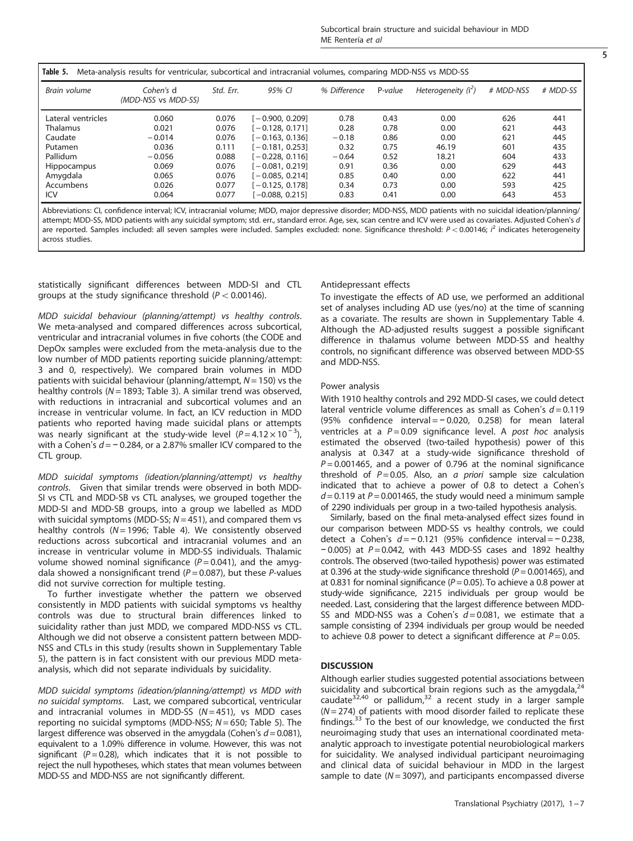| Brain volume       | Cohen's d<br>(MDD-NSS vs MDD-SS) | Std. Err. | 95% CI              | % Difference | P-value | Heterogeneity $(i^2)$ | # MDD-NSS | # MDD-SS |
|--------------------|----------------------------------|-----------|---------------------|--------------|---------|-----------------------|-----------|----------|
|                    |                                  |           |                     |              |         |                       |           |          |
| Lateral ventricles | 0.060                            | 0.076     | [ $-0.900, 0.209$ ] | 0.78         | 0.43    | 0.00                  | 626       | 441      |
| Thalamus           | 0.021                            | 0.076     | $[-0.128, 0.171]$   | 0.28         | 0.78    | 0.00                  | 621       | 443      |
| Caudate            | $-0.014$                         | 0.076     | $[-0.163, 0.136]$   | $-0.18$      | 0.86    | 0.00                  | 621       | 445      |
| Putamen            | 0.036                            | 0.111     | $[-0.181, 0.253]$   | 0.32         | 0.75    | 46.19                 | 601       | 435      |
| Pallidum           | $-0.056$                         | 0.088     | $[-0.228, 0.116]$   | $-0.64$      | 0.52    | 18.21                 | 604       | 433      |
| Hippocampus        | 0.069                            | 0.076     | $[-0.081, 0.219]$   | 0.91         | 0.36    | 0.00                  | 629       | 443      |
| Amygdala           | 0.065                            | 0.076     | $-0.085, 0.214$     | 0.85         | 0.40    | 0.00                  | 622       | 441      |
| Accumbens          | 0.026                            | 0.077     | $-0.125, 0.178$     | 0.34         | 0.73    | 0.00                  | 593       | 425      |
| ICV                | 0.064                            | 0.077     | $-0.088, 0.215$     | 0.83         | 0.41    | 0.00                  | 643       | 453      |

Abbreviations: CI, confidence interval; ICV, intracranial volume; MDD, major depressive disorder; MDD-NSS, MDD patients with no suicidal ideation/planning/ attempt; MDD-SS, MDD patients with any suicidal symptom; std. err., standard error. Age, sex, scan centre and ICV were used as covariates. Adjusted Cohen's d are reported. Samples included: all seven samples were included. Samples excluded: none. Significance threshold: P < 0.00146; i<sup>2</sup> indicates heterogeneity across studies.

statistically significant differences between MDD-SI and CTL groups at the study significance threshold ( $P < 0.00146$ ).

MDD suicidal behaviour (planning/attempt) vs healthy controls. We meta-analysed and compared differences across subcortical, ventricular and intracranial volumes in five cohorts (the CODE and DepOx samples were excluded from the meta-analysis due to the low number of MDD patients reporting suicide planning/attempt: 3 and 0, respectively). We compared brain volumes in MDD patients with suicidal behaviour (planning/attempt,  $N = 150$ ) vs the healthy controls ( $N = 1893$ ; [Table 3\)](#page-3-0). A similar trend was observed, with reductions in intracranial and subcortical volumes and an increase in ventricular volume. In fact, an ICV reduction in MDD patients who reported having made suicidal plans or attempts was nearly significant at the study-wide level  $(P=4.12\times10^{-3})$ , with a Cohen's  $d = -0.284$ , or a 2.87% smaller ICV compared to the CTL group.

MDD suicidal symptoms (ideation/planning/attempt) vs healthy controls. Given that similar trends were observed in both MDD-SI vs CTL and MDD-SB vs CTL analyses, we grouped together the MDD-SI and MDD-SB groups, into a group we labelled as MDD with suicidal symptoms (MDD-SS;  $N = 451$ ), and compared them vs healthy controls ( $N = 1996$ ; [Table 4](#page-3-0)). We consistently observed reductions across subcortical and intracranial volumes and an increase in ventricular volume in MDD-SS individuals. Thalamic volume showed nominal significance  $(P=0.041)$ , and the amygdala showed a nonsignificant trend ( $P = 0.087$ ), but these P-values did not survive correction for multiple testing.

To further investigate whether the pattern we observed consistently in MDD patients with suicidal symptoms vs healthy controls was due to structural brain differences linked to suicidality rather than just MDD, we compared MDD-NSS vs CTL. Although we did not observe a consistent pattern between MDD-NSS and CTLs in this study (results shown in Supplementary Table 5), the pattern is in fact consistent with our previous MDD metaanalysis, which did not separate individuals by suicidality.

MDD suicidal symptoms (ideation/planning/attempt) vs MDD with no suicidal symptoms. Last, we compared subcortical, ventricular and intracranial volumes in MDD-SS  $(N = 451)$ , vs MDD cases reporting no suicidal symptoms (MDD-NSS;  $N = 650$ ; Table 5). The largest difference was observed in the amygdala (Cohen's  $d = 0.081$ ), equivalent to a 1.09% difference in volume. However, this was not significant ( $P = 0.28$ ), which indicates that it is not possible to reject the null hypotheses, which states that mean volumes between MDD-SS and MDD-NSS are not significantly different.

# Antidepressant effects

To investigate the effects of AD use, we performed an additional set of analyses including AD use (yes/no) at the time of scanning as a covariate. The results are shown in Supplementary Table 4. Although the AD-adjusted results suggest a possible significant difference in thalamus volume between MDD-SS and healthy controls, no significant difference was observed between MDD-SS and MDD-NSS.

# Power analysis

With 1910 healthy controls and 292 MDD-SI cases, we could detect lateral ventricle volume differences as small as Cohen's  $d = 0.119$ (95% confidence interval = − 0.020, 0.258) for mean lateral ventricles at a  $P = 0.09$  significance level. A post hoc analysis estimated the observed (two-tailed hypothesis) power of this analysis at 0.347 at a study-wide significance threshold of  $P = 0.001465$ , and a power of 0.796 at the nominal significance threshold of  $P = 0.05$ . Also, an *a priori* sample size calculation indicated that to achieve a power of 0.8 to detect a Cohen's  $d = 0.119$  at  $P = 0.001465$ , the study would need a minimum sample of 2290 individuals per group in a two-tailed hypothesis analysis.

Similarly, based on the final meta-analysed effect sizes found in our comparison between MDD-SS vs healthy controls, we could detect a Cohen's  $d = -0.121$  (95% confidence interval =  $-0.238$ ,  $-0.005$ ) at  $P = 0.042$ , with 443 MDD-SS cases and 1892 healthy controls. The observed (two-tailed hypothesis) power was estimated at 0.396 at the study-wide significance threshold ( $P = 0.001465$ ), and at 0.831 for nominal significance ( $P = 0.05$ ). To achieve a 0.8 power at study-wide significance, 2215 individuals per group would be needed. Last, considering that the largest difference between MDD-SS and MDD-NSS was a Cohen's  $d = 0.081$ , we estimate that a sample consisting of 2394 individuals per group would be needed to achieve 0.8 power to detect a significant difference at  $P = 0.05$ .

# **DISCUSSION**

Although earlier studies suggested potential associations between suicidality and subcortical brain regions such as the amygdala, $<sup>2</sup>$ </sup> caudate $32,40$  or pallidum, $32$  a recent study in a larger sample  $(N = 274)$  of patients with mood disorder failed to replicate these findings. $33$  To the best of our knowledge, we conducted the first neuroimaging study that uses an international coordinated metaanalytic approach to investigate potential neurobiological markers for suicidality. We analysed individual participant neuroimaging and clinical data of suicidal behaviour in MDD in the largest sample to date ( $N = 3097$ ), and participants encompassed diverse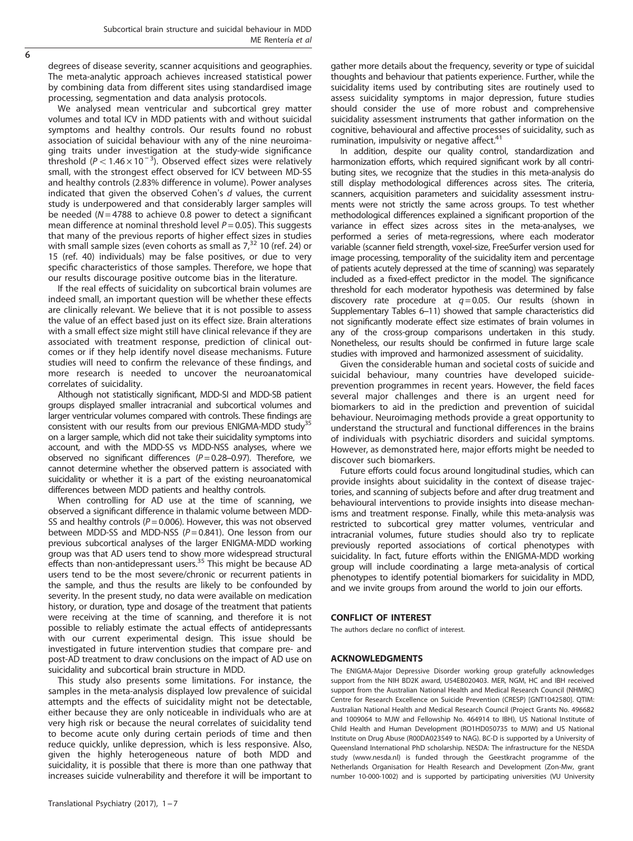degrees of disease severity, scanner acquisitions and geographies. The meta-analytic approach achieves increased statistical power by combining data from different sites using standardised image processing, segmentation and data analysis protocols.

We analysed mean ventricular and subcortical grey matter volumes and total ICV in MDD patients with and without suicidal symptoms and healthy controls. Our results found no robust association of suicidal behaviour with any of the nine neuroimaging traits under investigation at the study-wide significance threshold ( $P < 1.46 \times 10^{-3}$ ). Observed effect sizes were relatively small, with the strongest effect observed for ICV between MD-SS and healthy controls (2.83% difference in volume). Power analyses indicated that given the observed Cohen's d values, the current study is underpowered and that considerably larger samples will be needed ( $N = 4788$  to achieve 0.8 power to detect a significant mean difference at nominal threshold level  $P = 0.05$ ). This suggests that many of the previous reports of higher effect sizes in studies with small sample sizes (even cohorts as small as  $7<sup>32</sup>$  $7<sup>32</sup>$  $7<sup>32</sup>$  10 (ref. [24\)](#page-6-0) or 15 (ref. [40\)](#page-6-0) individuals) may be false positives, or due to very specific characteristics of those samples. Therefore, we hope that our results discourage positive outcome bias in the literature.

If the real effects of suicidality on subcortical brain volumes are indeed small, an important question will be whether these effects are clinically relevant. We believe that it is not possible to assess the value of an effect based just on its effect size. Brain alterations with a small effect size might still have clinical relevance if they are associated with treatment response, prediction of clinical outcomes or if they help identify novel disease mechanisms. Future studies will need to confirm the relevance of these findings, and more research is needed to uncover the neuroanatomical correlates of suicidality.

Although not statistically significant, MDD-SI and MDD-SB patient groups displayed smaller intracranial and subcortical volumes and larger ventricular volumes compared with controls. These findings are consistent with our results from our previous ENIGMA-MDD study<sup>35</sup> on a larger sample, which did not take their suicidality symptoms into account, and with the MDD-SS vs MDD-NSS analyses, where we observed no significant differences  $(P = 0.28-0.97)$ . Therefore, we cannot determine whether the observed pattern is associated with suicidality or whether it is a part of the existing neuroanatomical differences between MDD patients and healthy controls.

When controlling for AD use at the time of scanning, we observed a significant difference in thalamic volume between MDD-SS and healthy controls ( $P = 0.006$ ). However, this was not observed between MDD-SS and MDD-NSS ( $P = 0.841$ ). One lesson from our previous subcortical analyses of the larger ENIGMA-MDD working group was that AD users tend to show more widespread structural effects than non-antidepressant users.<sup>[35](#page-6-0)</sup> This might be because AD users tend to be the most severe/chronic or recurrent patients in the sample, and thus the results are likely to be confounded by severity. In the present study, no data were available on medication history, or duration, type and dosage of the treatment that patients were receiving at the time of scanning, and therefore it is not possible to reliably estimate the actual effects of antidepressants with our current experimental design. This issue should be investigated in future intervention studies that compare pre- and post-AD treatment to draw conclusions on the impact of AD use on suicidality and subcortical brain structure in MDD.

This study also presents some limitations. For instance, the samples in the meta-analysis displayed low prevalence of suicidal attempts and the effects of suicidality might not be detectable, either because they are only noticeable in individuals who are at very high risk or because the neural correlates of suicidality tend to become acute only during certain periods of time and then reduce quickly, unlike depression, which is less responsive. Also, given the highly heterogeneous nature of both MDD and suicidality, it is possible that there is more than one pathway that increases suicide vulnerability and therefore it will be important to gather more details about the frequency, severity or type of suicidal thoughts and behaviour that patients experience. Further, while the suicidality items used by contributing sites are routinely used to assess suicidality symptoms in major depression, future studies should consider the use of more robust and comprehensive suicidality assessment instruments that gather information on the cognitive, behavioural and affective processes of suicidality, such as rumination, impulsivity or negative affect. $41$ 

In addition, despite our quality control, standardization and harmonization efforts, which required significant work by all contributing sites, we recognize that the studies in this meta-analysis do still display methodological differences across sites. The criteria, scanners, acquisition parameters and suicidality assessment instruments were not strictly the same across groups. To test whether methodological differences explained a significant proportion of the variance in effect sizes across sites in the meta-analyses, we performed a series of meta-regressions, where each moderator variable (scanner field strength, voxel-size, FreeSurfer version used for image processing, temporality of the suicidality item and percentage of patients acutely depressed at the time of scanning) was separately included as a fixed-effect predictor in the model. The significance threshold for each moderator hypothesis was determined by false discovery rate procedure at  $q = 0.05$ . Our results (shown in Supplementary Tables 6–11) showed that sample characteristics did not significantly moderate effect size estimates of brain volumes in any of the cross-group comparisons undertaken in this study. Nonetheless, our results should be confirmed in future large scale studies with improved and harmonized assessment of suicidality.

Given the considerable human and societal costs of suicide and suicidal behaviour, many countries have developed suicideprevention programmes in recent years. However, the field faces several major challenges and there is an urgent need for biomarkers to aid in the prediction and prevention of suicidal behaviour. Neuroimaging methods provide a great opportunity to understand the structural and functional differences in the brains of individuals with psychiatric disorders and suicidal symptoms. However, as demonstrated here, major efforts might be needed to discover such biomarkers.

Future efforts could focus around longitudinal studies, which can provide insights about suicidality in the context of disease trajectories, and scanning of subjects before and after drug treatment and behavioural interventions to provide insights into disease mechanisms and treatment response. Finally, while this meta-analysis was restricted to subcortical grey matter volumes, ventricular and intracranial volumes, future studies should also try to replicate previously reported associations of cortical phenotypes with suicidality. In fact, future efforts within the ENIGMA-MDD working group will include coordinating a large meta-analysis of cortical phenotypes to identify potential biomarkers for suicidality in MDD, and we invite groups from around the world to join our efforts.

#### CONFLICT OF INTEREST

The authors declare no conflict of interest.

# ACKNOWLEDGMENTS

The ENIGMA-Major Depressive Disorder working group gratefully acknowledges support from the NIH BD2K award, U54EB020403. MER, NGM, HC and IBH received support from the Australian National Health and Medical Research Council (NHMRC) Centre for Research Excellence on Suicide Prevention (CRESP) [GNT1042580]. QTIM: Australian National Health and Medical Research Council (Project Grants No. 496682 and 1009064 to MJW and Fellowship No. 464914 to IBH), US National Institute of Child Health and Human Development (RO1HD050735 to MJW) and US National Institute on Drug Abuse (R00DA023549 to NAG). BC-D is supported by a University of Queensland International PhD scholarship. NESDA: The infrastructure for the NESDA study [\(www.nesda.nl](www.nesda.nl)) is funded through the Geestkracht programme of the Netherlands Organisation for Health Research and Development (Zon-Mw, grant number 10-000-1002) and is supported by participating universities (VU University